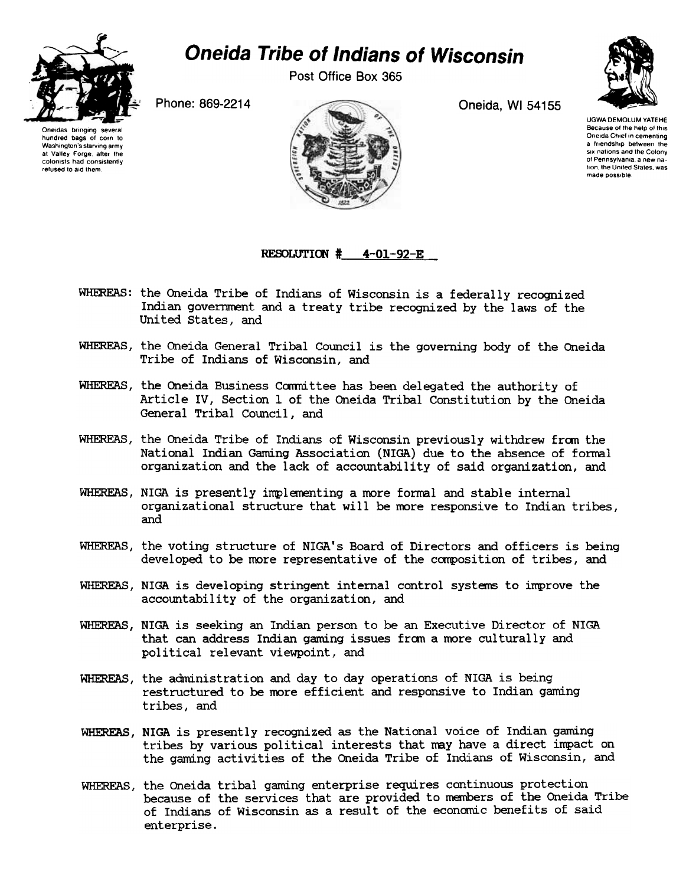

## Oneida Tribe of Indians of Wisconsin

Post Office Box 365



UGWA DEMOLUM YATEHE Because of the help of this Oneida Chief in cementing a friendship between the six nations and the Colony of Pennsylvania a new nation, the United States, was made possible

Phone: 869-2214 Oneida, WI 54155

Oneidas bringing several hundred bags of corn to Washington's starving army at Valley Forge after the colonists had consistently refused to aid them



RESOLUTION  $#$  4-01-92-E

- WHEREAS: the Oneida Tribe of Indians of Wisconsin is a federally recognized Indian government and a treaty tribe recognized by the laws of the United States, and
- WHEREAS, the Oneida General Tribal Council is the governing body of the Oneida Tribe of Indians of Wisconsin, and
- WHEREAS, the Oneida Business Committee has been delegated the authority of Article IV, Section 1 of the Oneida Tribal Constitution by the Oneida General Tribal Council, and
- WHEREAS, the Oneida Tribe of Indians of Wisconsin previously withdrew fram the National Indian Gaming Association (NIGA) due to the absence of formal organization and the lack of accountability of said organization, and
- WHEREAS, NlGA is presently implementing a more formal and stable internal organizational structure that will be more responsive to Indian tribes, and
- WHEREAS, the voting structure of NIGA's Board of Directors and officers is being developed to be more representative of the composition of tribes, and
- WHEREAS, NIGA is developing stringent internal control systems to improve the accountability of the organization, and
- WHEREAS, NIGA is seeking an Indian person to be an Executive Director of NIGA that can address Indian gaming issues from a more culturally and political relevant viewpoint, and
- WHEREAS, the administration and day to day operations of NIGA is being restructured to be more efficient and responsive to Indian gaming tribes, and
- WHEREAS, NIGA is presently recognized as the National voice of Indian gaming tribes by various political interests that may have a direct impact on the gaming activities of the Oneida Tribe of Indians of Wisconsin, and
- WHEREAS, the Oneida tribal gaming enterprise requires continuous protection because of the services that are provided to members of the Oneida Tribe of Indians of Wisconsin as a result of the economic benefits of said enterprise.